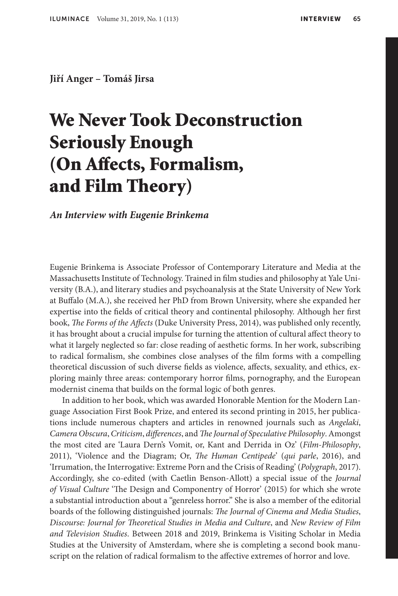**Jiří Anger – Tomáš Jirsa**

## We Never Took Deconstruction Seriously Enough (On Affects, Formalism, and Film Theory)

## *An Interview with Eugenie Brinkema*

Eugenie Brinkema is Associate Professor of Contemporary Literature and Media at the Massachusetts Institute of Technology. Trained in film studies and philosophy at Yale University (B.A.), and literary studies and psychoanalysis at the State University of New York at Buffalo (M.A.), she received her PhD from Brown University, where she expanded her expertise into the fields of critical theory and continental philosophy. Although her first book, *The Forms of the Affects* (Duke University Press, 2014), was published only recently, it has brought about a crucial impulse for turning the attention of cultural affect theory to what it largely neglected so far: close reading of aesthetic forms. In her work, subscribing to radical formalism, she combines close analyses of the film forms with a compelling theoretical discussion of such diverse fields as violence, affects, sexuality, and ethics, exploring mainly three areas: contemporary horror films, pornography, and the European modernist cinema that builds on the formal logic of both genres.

In addition to her book, which was awarded Honorable Mention for the Modern Language Association First Book Prize, and entered its second printing in 2015, her publications include numerous chapters and articles in renowned journals such as *Angelaki*, *Camera Obscura*, *Criticism*, *differences*, and *The Journal of Speculative Philosophy*. Amongst the most cited are 'Laura Dern's Vomit, or, Kant and Derrida in Oz' (*Film-Philosophy*, 2011), 'Violence and the Diagram; Or, *The Human Centipede*' (*qui parle*, 2016), and 'Irrumation, the Interrogative: Extreme Porn and the Crisis of Reading' (*Polygraph*, 2017). Accordingly, she co-edited (with Caetlin Benson-Allott) a special issue of the *Journal of Visual Culture* 'The Design and Componentry of Horror' (2015) for which she wrote a substantial introduction about a "genreless horror." She is also a member of the editorial boards of the following distinguished journals: *The Journal of Cinema and Media Studies*, *Discourse: Journal for Theoretical Studies in Media and Culture*, and *New Review of Film and Television Studies*. Between 2018 and 2019, Brinkema is Visiting Scholar in Media Studies at the University of Amsterdam, where she is completing a second book manuscript on the relation of radical formalism to the affective extremes of horror and love.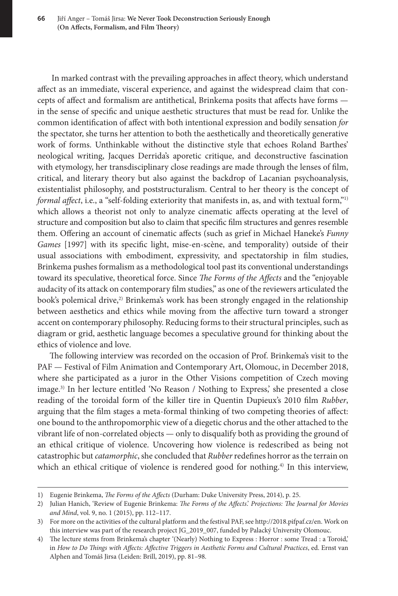In marked contrast with the prevailing approaches in affect theory, which understand affect as an immediate, visceral experience, and against the widespread claim that concepts of affect and formalism are antithetical, Brinkema posits that affects have forms in the sense of specific and unique aesthetic structures that must be read for. Unlike the common identification of affect with both intentional expression and bodily sensation *for* the spectator, she turns her attention to both the aesthetically and theoretically generative work of forms. Unthinkable without the distinctive style that echoes Roland Barthes' neological writing, Jacques Derrida's aporetic critique, and deconstructive fascination with etymology, her transdisciplinary close readings are made through the lenses of film, critical, and literary theory but also against the backdrop of Lacanian psychoanalysis, existentialist philosophy, and poststructuralism. Central to her theory is the concept of *formal affect*, i.e., a "self-folding exteriority that manifests in, as, and with textual form,"1) which allows a theorist not only to analyze cinematic affects operating at the level of structure and composition but also to claim that specific film structures and genres resemble them. Offering an account of cinematic affects (such as grief in Michael Haneke's *Funny Games* [1997] with its specific light, mise-en-scène, and temporality) outside of their usual associations with embodiment, expressivity, and spectatorship in film studies, Brinkema pushes formalism as a methodological tool past its conventional understandings toward its speculative, theoretical force. Since *The Forms of the Affects* and the "enjoyable audacity of its attack on contemporary film studies," as one of the reviewers articulated the book's polemical drive,<sup>2)</sup> Brinkema's work has been strongly engaged in the relationship between aesthetics and ethics while moving from the affective turn toward a stronger accent on contemporary philosophy. Reducing forms to their structural principles, such as diagram or grid, aesthetic language becomes a speculative ground for thinking about the ethics of violence and love.

The following interview was recorded on the occasion of Prof. Brinkema's visit to the PAF — Festival of Film Animation and Contemporary Art, Olomouc, in December 2018, where she participated as a juror in the Other Visions competition of Czech moving image.3) In her lecture entitled 'No Reason / Nothing to Express,' she presented a close reading of the toroidal form of the killer tire in Quentin Dupieux's 2010 film *Rubber*, arguing that the film stages a meta-formal thinking of two competing theories of affect: one bound to the anthropomorphic view of a diegetic chorus and the other attached to the vibrant life of non-correlated objects — only to disqualify both as providing the ground of an ethical critique of violence. Uncovering how violence is redescribed as being not catastrophic but *catamorphic*, she concluded that *Rubber* redefines horror as the terrain on which an ethical critique of violence is rendered good for nothing.<sup>4)</sup> In this interview,

<sup>1)</sup> Eugenie Brinkema, *The Forms of the Affects* (Durham: Duke University Press, 2014), p. 25.

<sup>2)</sup> Julian Hanich, 'Review of Eugenie Brinkema: *The Forms of the Affects*.' *Projections: The Journal for Movies and Mind*, vol. 9, no. 1 (2015), pp. 112–117.

<sup>3)</sup> For more on the activities of the cultural platform and the festival PAF, see http://2018.pifpaf.cz/en. Work on this interview was part of the research project JG\_2019\_007, funded by Palacký University Olomouc.

<sup>4)</sup> The lecture stems from Brinkema's chapter '(Nearly) Nothing to Express : Horror : some Tread : a Toroid,' in *How to Do Things with Affects: Affective Triggers in Aesthetic Forms and Cultural Practices*, ed. Ernst van Alphen and Tomáš Jirsa (Leiden: Brill, 2019), pp. 81–98.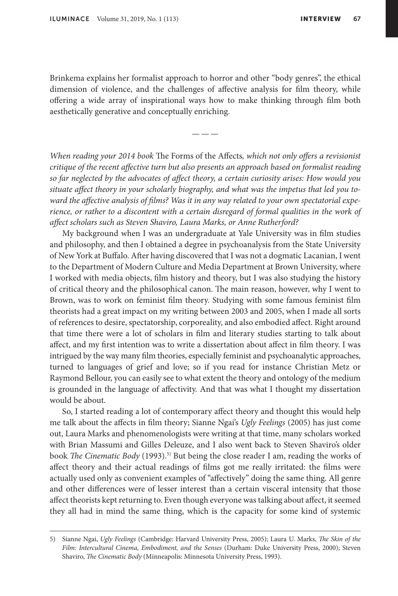Brinkema explains her formalist approach to horror and other "body genres", the ethical dimension of violence, and the challenges of affective analysis for film theory, while offering a wide array of inspirational ways how to make thinking through film both aesthetically generative and conceptually enriching.

———

*When reading your 2014 book* The Forms of the Affects*, which not only offers a revisionist critique of the recent affective turn but also presents an approach based on formalist reading so far neglected by the advocates of affect theory, a certain curiosity arises: How would you situate affect theory in your scholarly biography, and what was the impetus that led you toward the affective analysis of films? Was it in any way related to your own spectatorial experience, or rather to a discontent with a certain disregard of formal qualities in the work of affect scholars such as Steven Shaviro, Laura Marks, or Anne Rutherford?*

My background when I was an undergraduate at Yale University was in film studies and philosophy, and then I obtained a degree in psychoanalysis from the State University of New York at Buffalo. After having discovered that I was not a dogmatic Lacanian, I went to the Department of Modern Culture and Media Department at Brown University, where I worked with media objects, film history and theory, but I was also studying the history of critical theory and the philosophical canon. The main reason, however, why I went to Brown, was to work on feminist film theory. Studying with some famous feminist film theorists had a great impact on my writing between 2003 and 2005, when I made all sorts of references to desire, spectatorship, corporeality, and also embodied affect. Right around that time there were a lot of scholars in film and literary studies starting to talk about affect, and my first intention was to write a dissertation about affect in film theory. I was intrigued by the way many film theories, especially feminist and psychoanalytic approaches, turned to languages of grief and love; so if you read for instance Christian Metz or Raymond Bellour, you can easily see to what extent the theory and ontology of the medium is grounded in the language of affectivity. And that was what I thought my dissertation would be about.

So, I started reading a lot of contemporary affect theory and thought this would help me talk about the affects in film theory; Sianne Ngai's *Ugly Feelings* (2005) has just come out, Laura Marks and phenomenologists were writing at that time, many scholars worked with Brian Massumi and Gilles Deleuze, and I also went back to Steven Shaviro's older book *The Cinematic Body* (1993).<sup>5)</sup> But being the close reader I am, reading the works of affect theory and their actual readings of films got me really irritated: the films were actually used only as convenient examples of "affectively" doing the same thing. All genre and other differences were of lesser interest than a certain visceral intensity that those affect theorists kept returning to. Even though everyone was talking about affect, it seemed they all had in mind the same thing, which is the capacity for some kind of systemic

<sup>5)</sup> Sianne Ngai, *Ugly Feelings* (Cambridge: Harvard University Press, 2005); Laura U. Marks, *The Skin of the Film: Intercultural Cinema, Embodiment, and the Senses* (Durham: Duke University Press, 2000); Steven Shaviro, *The Cinematic Body* (Minneapolis: Minnesota University Press, 1993).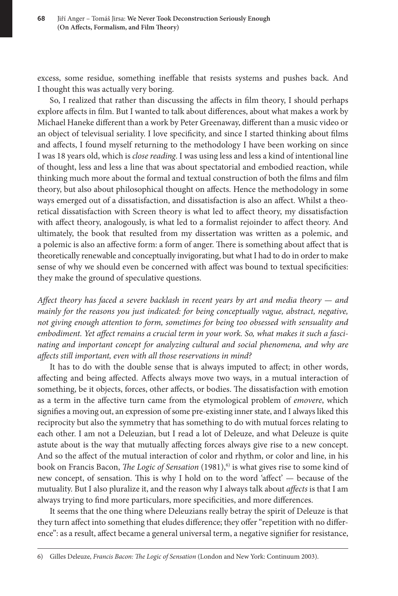excess, some residue, something ineffable that resists systems and pushes back. And I thought this was actually very boring.

So, I realized that rather than discussing the affects in film theory, I should perhaps explore affects in film. But I wanted to talk about differences, about what makes a work by Michael Haneke different than a work by Peter Greenaway, different than a music video or an object of televisual seriality. I love specificity, and since I started thinking about films and affects, I found myself returning to the methodology I have been working on since I was 18 years old, which is *close reading*. I was using less and less a kind of intentional line of thought, less and less a line that was about spectatorial and embodied reaction, while thinking much more about the formal and textual construction of both the films and film theory, but also about philosophical thought on affects. Hence the methodology in some ways emerged out of a dissatisfaction, and dissatisfaction is also an affect. Whilst a theoretical dissatisfaction with Screen theory is what led to affect theory, my dissatisfaction with affect theory, analogously, is what led to a formalist rejoinder to affect theory. And ultimately, the book that resulted from my dissertation was written as a polemic, and a polemic is also an affective form: a form of anger. There is something about affect that is theoretically renewable and conceptually invigorating, but what I had to do in order to make sense of why we should even be concerned with affect was bound to textual specificities: they make the ground of speculative questions.

*Affect theory has faced a severe backlash in recent years by art and media theory — and mainly for the reasons you just indicated: for being conceptually vague, abstract, negative, not giving enough attention to form, sometimes for being too obsessed with sensuality and embodiment. Yet affect remains a crucial term in your work. So, what makes it such a fascinating and important concept for analyzing cultural and social phenomena, and why are affects still important, even with all those reservations in mind?*

It has to do with the double sense that is always imputed to affect; in other words, affecting and being affected. Affects always move two ways, in a mutual interaction of something, be it objects, forces, other affects, or bodies. The dissatisfaction with emotion as a term in the affective turn came from the etymological problem of *emovere*, which signifies a moving out, an expression of some pre-existing inner state, and I always liked this reciprocity but also the symmetry that has something to do with mutual forces relating to each other. I am not a Deleuzian, but I read a lot of Deleuze, and what Deleuze is quite astute about is the way that mutually affecting forces always give rise to a new concept. And so the affect of the mutual interaction of color and rhythm, or color and line, in his book on Francis Bacon, *The Logic of Sensation* (1981),<sup>6)</sup> is what gives rise to some kind of new concept, of sensation. This is why I hold on to the word 'affect' — because of the mutuality. But I also pluralize it, and the reason why I always talk about *affects* is that I am always trying to find more particulars, more specificities, and more differences.

It seems that the one thing where Deleuzians really betray the spirit of Deleuze is that they turn affect into something that eludes difference; they offer "repetition with no difference": as a result, affect became a general universal term, a negative signifier for resistance,

6) Gilles Deleuze, *Francis Bacon: The Logic of Sensation* (London and New York: Continuum 2003).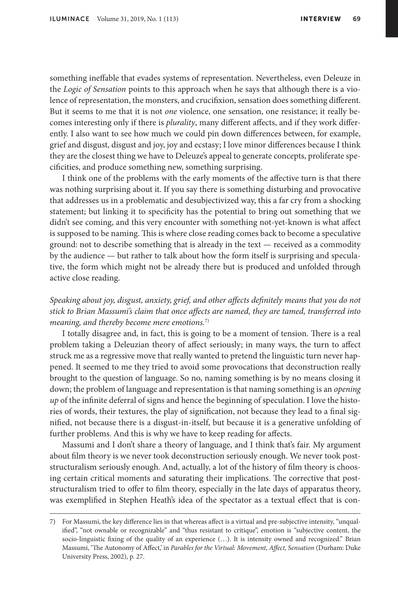something ineffable that evades systems of representation. Nevertheless, even Deleuze in the *Logic of Sensation* points to this approach when he says that although there is a violence of representation, the monsters, and crucifixion, sensation does something different. But it seems to me that it is not *one* violence, one sensation, one resistance; it really becomes interesting only if there is *plurality*, many different affects, and if they work differently. I also want to see how much we could pin down differences between, for example, grief and disgust, disgust and joy, joy and ecstasy; I love minor differences because I think they are the closest thing we have to Deleuze's appeal to generate concepts, proliferate specificities, and produce something new, something surprising.

I think one of the problems with the early moments of the affective turn is that there was nothing surprising about it. If you say there is something disturbing and provocative that addresses us in a problematic and desubjectivized way, this a far cry from a shocking statement; but linking it to specificity has the potential to bring out something that we didn't see coming, and this very encounter with something not-yet-known is what affect is supposed to be naming. This is where close reading comes back to become a speculative ground: not to describe something that is already in the text — received as a commodity by the audience — but rather to talk about how the form itself is surprising and speculative, the form which might not be already there but is produced and unfolded through active close reading.

*Speaking about joy, disgust, anxiety, grief, and other affects definitely means that you do not stick to Brian Massumi's claim that once affects are named, they are tamed, transferred into meaning, and thereby become mere emotions.*7)

I totally disagree and, in fact, this is going to be a moment of tension. There is a real problem taking a Deleuzian theory of affect seriously; in many ways, the turn to affect struck me as a regressive move that really wanted to pretend the linguistic turn never happened. It seemed to me they tried to avoid some provocations that deconstruction really brought to the question of language. So no, naming something is by no means closing it down; the problem of language and representation is that naming something is an *opening up* of the infinite deferral of signs and hence the beginning of speculation. I love the histories of words, their textures, the play of signification, not because they lead to a final signified, not because there is a disgust-in-itself, but because it is a generative unfolding of further problems. And this is why we have to keep reading for affects.

Massumi and I don't share a theory of language, and I think that's fair. My argument about film theory is we never took deconstruction seriously enough. We never took poststructuralism seriously enough. And, actually, a lot of the history of film theory is choosing certain critical moments and saturating their implications. The corrective that poststructuralism tried to offer to film theory, especially in the late days of apparatus theory, was exemplified in Stephen Heath's idea of the spectator as a textual effect that is con-

<sup>7)</sup> For Massumi, the key difference lies in that whereas affect is a virtual and pre-subjective intensity, "unqualified", "not ownable or recognizable" and "thus resistant to critique", emotion is "subjective content, the socio-linguistic fixing of the quality of an experience (…). It is intensity owned and recognized." Brian Massumi, 'The Autonomy of Affect,' in *Parables for the Virtual: Movement, Affect, Sensation* (Durham: Duke University Press, 2002), p. 27.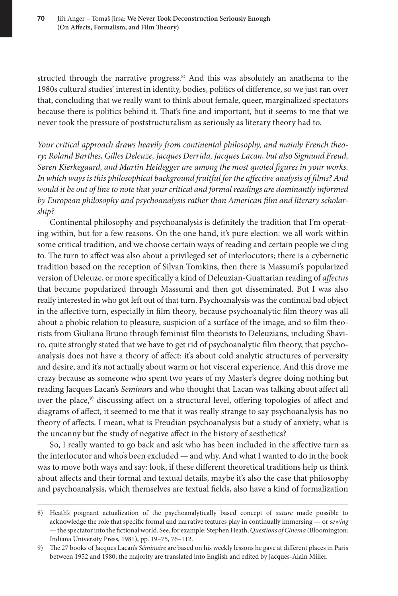structed through the narrative progress.<sup>8)</sup> And this was absolutely an anathema to the 1980s cultural studies' interest in identity, bodies, politics of difference, so we just ran over that, concluding that we really want to think about female, queer, marginalized spectators because there is politics behind it. That's fine and important, but it seems to me that we never took the pressure of poststructuralism as seriously as literary theory had to.

*Your critical approach draws heavily from continental philosophy, and mainly French theory; Roland Barthes, Gilles Deleuze, Jacques Derrida, Jacques Lacan, but also Sigmund Freud, Søren Kierkegaard, and Martin Heidegger are among the most quoted figures in your works. In which ways is this philosophical background fruitful for the affective analysis of films? And would it be out of line to note that your critical and formal readings are dominantly informed by European philosophy and psychoanalysis rather than American film and literary scholarship?*

Continental philosophy and psychoanalysis is definitely the tradition that I'm operating within, but for a few reasons. On the one hand, it's pure election: we all work within some critical tradition, and we choose certain ways of reading and certain people we cling to. The turn to affect was also about a privileged set of interlocutors; there is a cybernetic tradition based on the reception of Silvan Tomkins, then there is Massumi's popularized version of Deleuze, or more specifically a kind of Deleuzian-Guattarian reading of *affectus* that became popularized through Massumi and then got disseminated. But I was also really interested in who got left out of that turn. Psychoanalysis was the continual bad object in the affective turn, especially in film theory, because psychoanalytic film theory was all about a phobic relation to pleasure, suspicion of a surface of the image, and so film theorists from Giuliana Bruno through feminist film theorists to Deleuzians, including Shaviro, quite strongly stated that we have to get rid of psychoanalytic film theory, that psychoanalysis does not have a theory of affect: it's about cold analytic structures of perversity and desire, and it's not actually about warm or hot visceral experience. And this drove me crazy because as someone who spent two years of my Master's degree doing nothing but reading Jacques Lacan's *Seminars* and who thought that Lacan was talking about affect all over the place,<sup>9)</sup> discussing affect on a structural level, offering topologies of affect and diagrams of affect, it seemed to me that it was really strange to say psychoanalysis has no theory of affects. I mean, what is Freudian psychoanalysis but a study of anxiety; what is the uncanny but the study of negative affect in the history of aesthetics?

So, I really wanted to go back and ask who has been included in the affective turn as the interlocutor and who's been excluded — and why. And what I wanted to do in the book was to move both ways and say: look, if these different theoretical traditions help us think about affects and their formal and textual details, maybe it's also the case that philosophy and psychoanalysis, which themselves are textual fields, also have a kind of formalization

<sup>8)</sup> Heath's poignant actualization of the psychoanalytically based concept of *suture* made possible to acknowledge the role that specific formal and narrative features play in continually immersing — or *sewing* — the spectator into the fictional world. See, for example: Stephen Heath, *Questions of Cinema* (Bloomington: Indiana University Press, 1981), pp. 19–75, 76–112.

<sup>9)</sup> The 27 books of Jacques Lacan's *Séminaire* are based on his weekly lessons he gave at different places in Paris between 1952 and 1980; the majority are translated into English and edited by Jacques-Alain Miller.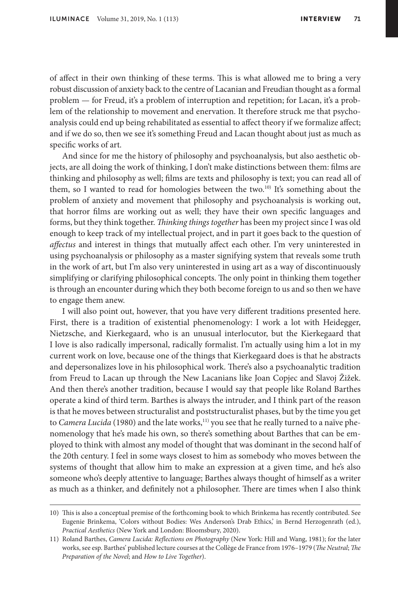of affect in their own thinking of these terms. This is what allowed me to bring a very robust discussion of anxiety back to the centre of Lacanian and Freudian thought as a formal problem — for Freud, it's a problem of interruption and repetition; for Lacan, it's a problem of the relationship to movement and enervation. It therefore struck me that psychoanalysis could end up being rehabilitated as essential to affect theory if we formalize affect; and if we do so, then we see it's something Freud and Lacan thought about just as much as specific works of art.

And since for me the history of philosophy and psychoanalysis, but also aesthetic objects, are all doing the work of thinking, I don't make distinctions between them: films are thinking and philosophy as well; films are texts and philosophy is text; you can read all of them, so I wanted to read for homologies between the two.<sup>10)</sup> It's something about the problem of anxiety and movement that philosophy and psychoanalysis is working out, that horror films are working out as well; they have their own specific languages and forms, but they think together. *Thinking things together* has been my project since I was old enough to keep track of my intellectual project, and in part it goes back to the question of *affectus* and interest in things that mutually affect each other. I'm very uninterested in using psychoanalysis or philosophy as a master signifying system that reveals some truth in the work of art, but I'm also very uninterested in using art as a way of discontinuously simplifying or clarifying philosophical concepts. The only point in thinking them together is through an encounter during which they both become foreign to us and so then we have to engage them anew.

I will also point out, however, that you have very different traditions presented here. First, there is a tradition of existential phenomenology: I work a lot with Heidegger, Nietzsche, and Kierkegaard, who is an unusual interlocutor, but the Kierkegaard that I love is also radically impersonal, radically formalist. I'm actually using him a lot in my current work on love, because one of the things that Kierkegaard does is that he abstracts and depersonalizes love in his philosophical work. There's also a psychoanalytic tradition from Freud to Lacan up through the New Lacanians like Joan Copjec and Slavoj Žižek. And then there's another tradition, because I would say that people like Roland Barthes operate a kind of third term. Barthes is always the intruder, and I think part of the reason is that he moves between structuralist and poststructuralist phases, but by the time you get to *Camera Lucida* (1980) and the late works,<sup>11)</sup> you see that he really turned to a naïve phenomenology that he's made his own, so there's something about Barthes that can be employed to think with almost any model of thought that was dominant in the second half of the 20th century. I feel in some ways closest to him as somebody who moves between the systems of thought that allow him to make an expression at a given time, and he's also someone who's deeply attentive to language; Barthes always thought of himself as a writer as much as a thinker, and definitely not a philosopher. There are times when I also think

<sup>10)</sup> This is also a conceptual premise of the forthcoming book to which Brinkema has recently contributed. See Eugenie Brinkema, 'Colors without Bodies: Wes Anderson's Drab Ethics,' in Bernd Herzogenrath (ed.), *Practical Aesthetics* (New York and London: Bloomsbury, 2020).

<sup>11)</sup> Roland Barthes, *Camera Lucida: Reflections on Photography* (New York: Hill and Wang, 1981); for the later works, see esp. Barthes' published lecture courses at the Collège de France from 1976–1979 (*The Neutral*; *The Preparation of the Novel*; and *How to Live Together*).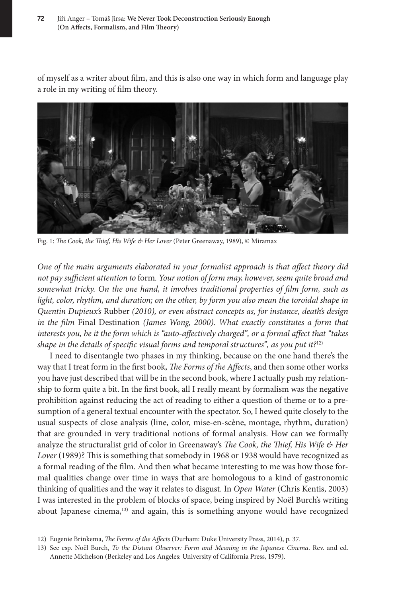of myself as a writer about film, and this is also one way in which form and language play a role in my writing of film theory.



Fig. 1: *The Cook, the Thief, His Wife & Her Lover* (Peter Greenaway, 1989), © Miramax

*One of the main arguments elaborated in your formalist approach is that affect theory did not pay sufficient attention to* form*. Your notion of form may, however, seem quite broad and somewhat tricky. On the one hand, it involves traditional properties of film form, such as light, color, rhythm, and duration; on the other, by form you also mean the toroidal shape in Quentin Dupieux's* Rubber *(2010), or even abstract concepts as, for instance, death's design in the film* Final Destination *(James Wong, 2000). What exactly constitutes a form that interests you, be it the form which is "auto-affectively charged", or a formal affect that "takes shape in the details of specific visual forms and temporal structures", as you put it?*12)

I need to disentangle two phases in my thinking, because on the one hand there's the way that I treat form in the first book, *The Forms of the Affects*, and then some other works you have just described that will be in the second book, where I actually push my relationship to form quite a bit. In the first book, all I really meant by formalism was the negative prohibition against reducing the act of reading to either a question of theme or to a presumption of a general textual encounter with the spectator. So, I hewed quite closely to the usual suspects of close analysis (line, color, mise-en-scène, montage, rhythm, duration) that are grounded in very traditional notions of formal analysis. How can we formally analyze the structuralist grid of color in Greenaway's *The Cook, the Thief, His Wife & Her*  Lover (1989)? This is something that somebody in 1968 or 1938 would have recognized as a formal reading of the film. And then what became interesting to me was how those formal qualities change over time in ways that are homologous to a kind of gastronomic thinking of qualities and the way it relates to disgust. In *Open Water* (Chris Kentis, 2003) I was interested in the problem of blocks of space, being inspired by Noël Burch's writing about Japanese cinema,13) and again, this is something anyone would have recognized

<sup>12)</sup> Eugenie Brinkema, *The Forms of the Affects* (Durham: Duke University Press, 2014), p. 37.

<sup>13)</sup> See esp. Noël Burch, *To the Distant Observer: Form and Meaning in the Japanese Cinema*. Rev. and ed. Annette Michelson (Berkeley and Los Angeles: University of California Press, 1979).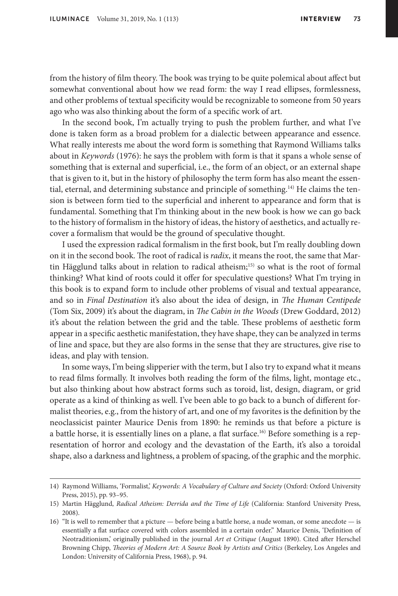from the history of film theory. The book was trying to be quite polemical about affect but somewhat conventional about how we read form: the way I read ellipses, formlessness, and other problems of textual specificity would be recognizable to someone from 50 years ago who was also thinking about the form of a specific work of art.

In the second book, I'm actually trying to push the problem further, and what I've done is taken form as a broad problem for a dialectic between appearance and essence. What really interests me about the word form is something that Raymond Williams talks about in *Keywords* (1976): he says the problem with form is that it spans a whole sense of something that is external and superficial, i.e., the form of an object, or an external shape that is given to it, but in the history of philosophy the term form has also meant the essential, eternal, and determining substance and principle of something.<sup>14)</sup> He claims the tension is between form tied to the superficial and inherent to appearance and form that is fundamental. Something that I'm thinking about in the new book is how we can go back to the history of formalism in the history of ideas, the history of aesthetics, and actually recover a formalism that would be the ground of speculative thought.

I used the expression radical formalism in the first book, but I'm really doubling down on it in the second book. The root of radical is *radix*, it means the root, the same that Martin Hägglund talks about in relation to radical atheism;<sup>15)</sup> so what is the root of formal thinking? What kind of roots could it offer for speculative questions? What I'm trying in this book is to expand form to include other problems of visual and textual appearance, and so in *Final Destination* it's also about the idea of design, in *The Human Centipede* (Tom Six, 2009) it's about the diagram, in *The Cabin in the Woods* (Drew Goddard, 2012) it's about the relation between the grid and the table. These problems of aesthetic form appear in a specific aesthetic manifestation, they have shape, they can be analyzed in terms of line and space, but they are also forms in the sense that they are structures, give rise to ideas, and play with tension.

In some ways, I'm being slipperier with the term, but I also try to expand what it means to read films formally. It involves both reading the form of the films, light, montage etc., but also thinking about how abstract forms such as toroid, list, design, diagram, or grid operate as a kind of thinking as well. I've been able to go back to a bunch of different formalist theories, e.g., from the history of art, and one of my favorites is the definition by the neoclassicist painter Maurice Denis from 1890: he reminds us that before a picture is a battle horse, it is essentially lines on a plane, a flat surface.16) Before something is a representation of horror and ecology and the devastation of the Earth, it's also a toroidal shape, also a darkness and lightness, a problem of spacing, of the graphic and the morphic.

<sup>14)</sup> Raymond Williams, 'Formalist,' *Keywords: A Vocabulary of Culture and Society* (Oxford: Oxford University Press, 2015), pp. 93–95.

<sup>15)</sup> Martin Hägglund, *Radical Atheism: Derrida and the Time of Life* (California: Stanford University Press, 2008).

<sup>16)</sup> "It is well to remember that a picture — before being a battle horse, a nude woman, or some anecdote — is essentially a flat surface covered with colors assembled in a certain order." Maurice Denis, 'Definition of Neotraditionism,' originally published in the journal *Art et Critique* (August 1890). Cited after Herschel Browning Chipp, *Theories of Modern Art: A Source Book by Artists and Critics* (Berkeley, Los Angeles and London: University of California Press, 1968), p. 94.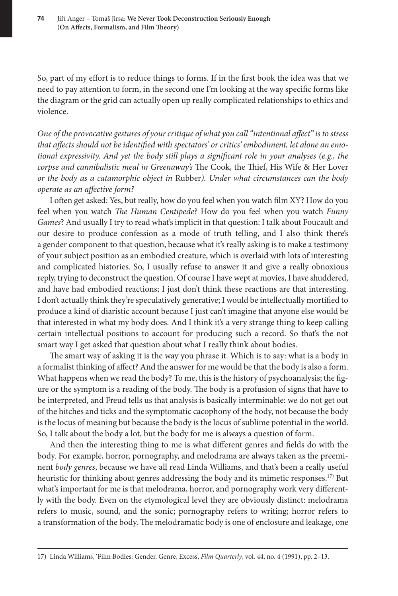So, part of my effort is to reduce things to forms. If in the first book the idea was that we need to pay attention to form, in the second one I'm looking at the way specific forms like the diagram or the grid can actually open up really complicated relationships to ethics and violence.

*One of the provocative gestures of your critique of what you call "intentional affect" is to stress that affects should not be identified with spectators' or critics' embodiment, let alone an emotional expressivity. And yet the body still plays a significant role in your analyses (e.g., the corpse and cannibalistic meal in Greenaway's* The Cook, the Thief, His Wife & Her Lover *or the body as a catamorphic object in* Rubber*). Under what circumstances can the body operate as an affective form?*

I often get asked: Yes, but really, how do you feel when you watch film XY? How do you feel when you watch *The Human Centipede*? How do you feel when you watch *Funny Games*? And usually I try to read what's implicit in that question: I talk about Foucault and our desire to produce confession as a mode of truth telling, and I also think there's a gender component to that question, because what it's really asking is to make a testimony of your subject position as an embodied creature, which is overlaid with lots of interesting and complicated histories. So, I usually refuse to answer it and give a really obnoxious reply, trying to deconstruct the question. Of course I have wept at movies, I have shuddered, and have had embodied reactions; I just don't think these reactions are that interesting. I don't actually think they're speculatively generative; I would be intellectually mortified to produce a kind of diaristic account because I just can't imagine that anyone else would be that interested in what my body does. And I think it's a very strange thing to keep calling certain intellectual positions to account for producing such a record. So that's the not smart way I get asked that question about what I really think about bodies.

The smart way of asking it is the way you phrase it. Which is to say: what is a body in a formalist thinking of affect? And the answer for me would be that the body is also a form. What happens when we read the body? To me, this is the history of psychoanalysis; the figure or the symptom is a reading of the body. The body is a profusion of signs that have to be interpreted, and Freud tells us that analysis is basically interminable: we do not get out of the hitches and ticks and the symptomatic cacophony of the body, not because the body is the locus of meaning but because the body is the locus of sublime potential in the world. So, I talk about the body a lot, but the body for me is always a question of form.

And then the interesting thing to me is what different genres and fields do with the body. For example, horror, pornography, and melodrama are always taken as the preeminent *body genres*, because we have all read Linda Williams, and that's been a really useful heuristic for thinking about genres addressing the body and its mimetic responses.<sup>17)</sup> But what's important for me is that melodrama, horror, and pornography work very differently with the body. Even on the etymological level they are obviously distinct: melodrama refers to music, sound, and the sonic; pornography refers to writing; horror refers to a transformation of the body. The melodramatic body is one of enclosure and leakage, one

<sup>17)</sup> Linda Williams, 'Film Bodies: Gender, Genre, Excess', *Film Quarterly*, vol. 44, no. 4 (1991), pp. 2–13.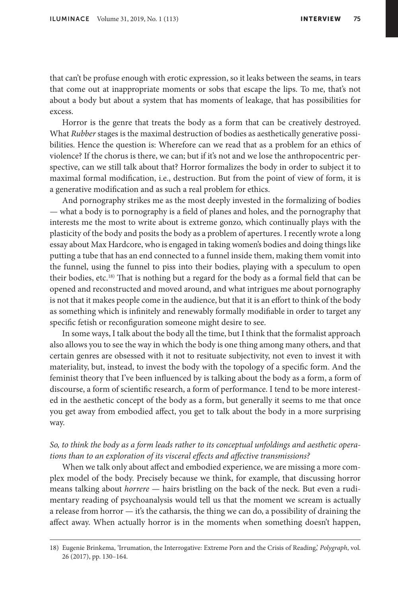that can't be profuse enough with erotic expression, so it leaks between the seams, in tears that come out at inappropriate moments or sobs that escape the lips. To me, that's not about a body but about a system that has moments of leakage, that has possibilities for excess.

Horror is the genre that treats the body as a form that can be creatively destroyed. What *Rubber* stages is the maximal destruction of bodies as aesthetically generative possibilities. Hence the question is: Wherefore can we read that as a problem for an ethics of violence? If the chorus is there, we can; but if it's not and we lose the anthropocentric perspective, can we still talk about that? Horror formalizes the body in order to subject it to maximal formal modification, i.e., destruction. But from the point of view of form, it is a generative modification and as such a real problem for ethics.

And pornography strikes me as the most deeply invested in the formalizing of bodies — what a body is to pornography is a field of planes and holes, and the pornography that interests me the most to write about is extreme gonzo, which continually plays with the plasticity of the body and posits the body as a problem of apertures. I recently wrote a long essay about Max Hardcore, who is engaged in taking women's bodies and doing things like putting a tube that has an end connected to a funnel inside them, making them vomit into the funnel, using the funnel to piss into their bodies, playing with a speculum to open their bodies, etc.<sup>18)</sup> That is nothing but a regard for the body as a formal field that can be opened and reconstructed and moved around, and what intrigues me about pornography is not that it makes people come in the audience, but that it is an effort to think of the body as something which is infinitely and renewably formally modifiable in order to target any specific fetish or reconfiguration someone might desire to see.

In some ways, I talk about the body all the time, but I think that the formalist approach also allows you to see the way in which the body is one thing among many others, and that certain genres are obsessed with it not to resituate subjectivity, not even to invest it with materiality, but, instead, to invest the body with the topology of a specific form. And the feminist theory that I've been influenced by is talking about the body as a form, a form of discourse, a form of scientific research, a form of performance. I tend to be more interested in the aesthetic concept of the body as a form, but generally it seems to me that once you get away from embodied affect, you get to talk about the body in a more surprising way.

## *So, to think the body as a form leads rather to its conceptual unfoldings and aesthetic operations than to an exploration of its visceral effects and affective transmissions?*

When we talk only about affect and embodied experience, we are missing a more complex model of the body. Precisely because we think, for example, that discussing horror means talking about *horrere* — hairs bristling on the back of the neck. But even a rudimentary reading of psychoanalysis would tell us that the moment we scream is actually a release from horror  $-$  it's the catharsis, the thing we can do, a possibility of draining the affect away. When actually horror is in the moments when something doesn't happen,

<sup>18)</sup> Eugenie Brinkema, 'Irrumation, the Interrogative: Extreme Porn and the Crisis of Reading,' *Polygraph*, vol. 26 (2017), pp. 130–164.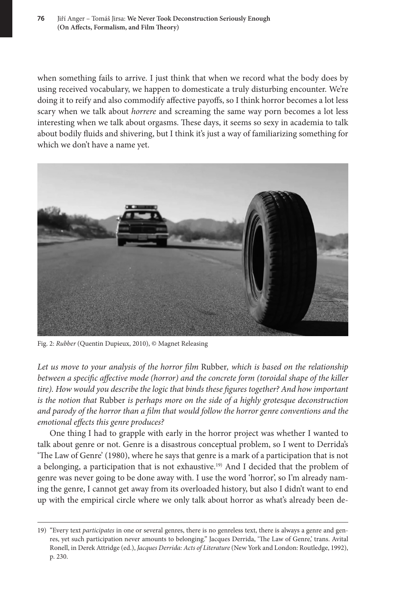when something fails to arrive. I just think that when we record what the body does by using received vocabulary, we happen to domesticate a truly disturbing encounter. We're doing it to reify and also commodify affective payoffs, so I think horror becomes a lot less scary when we talk about *horrere* and screaming the same way porn becomes a lot less interesting when we talk about orgasms. These days, it seems so sexy in academia to talk about bodily fluids and shivering, but I think it's just a way of familiarizing something for which we don't have a name yet.



Fig. 2: *Rubber* (Quentin Dupieux, 2010), © Magnet Releasing

*Let us move to your analysis of the horror film* Rubber*, which is based on the relationship between a specific affective mode (horror) and the concrete form (toroidal shape of the killer tire). How would you describe the logic that binds these figures together? And how important is the notion that* Rubber *is perhaps more on the side of a highly grotesque deconstruction and parody of the horror than a film that would follow the horror genre conventions and the emotional effects this genre produces?*

One thing I had to grapple with early in the horror project was whether I wanted to talk about genre or not. Genre is a disastrous conceptual problem, so I went to Derrida's 'The Law of Genre' (1980), where he says that genre is a mark of a participation that is not a belonging, a participation that is not exhaustive.19) And I decided that the problem of genre was never going to be done away with. I use the word 'horror', so I'm already naming the genre, I cannot get away from its overloaded history, but also I didn't want to end up with the empirical circle where we only talk about horror as what's already been de-

<sup>19)</sup> "Every text *participates* in one or several genres, there is no genreless text, there is always a genre and genres, yet such participation never amounts to belonging." Jacques Derrida, 'The Law of Genre,' trans. Avital Ronell, in Derek Attridge (ed.), *Jacques Derrida: Acts of Literature* (New York and London: Routledge, 1992), p. 230.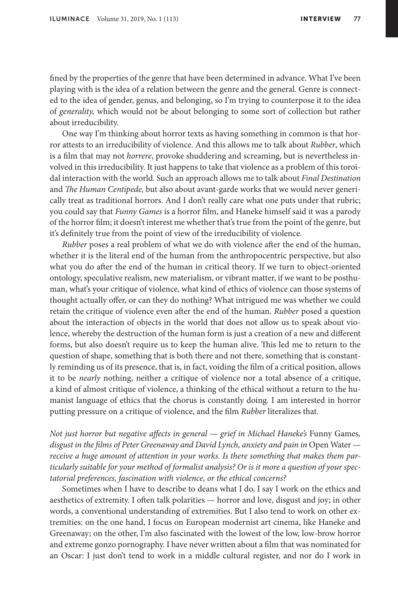fined by the properties of the genre that have been determined in advance. What I've been playing with is the idea of a relation between the genre and the general. Genre is connected to the idea of gender, genus, and belonging, so I'm trying to counterpose it to the idea of *generality,* which would not be about belonging to some sort of collection but rather about irreducibility.

One way I'm thinking about horror texts as having something in common is that horror attests to an irreducibility of violence. And this allows me to talk about *Rubber*, which is a film that may not *horrere*, provoke shuddering and screaming, but is nevertheless involved in this irreducibility. It just happens to take that violence as a problem of this toroidal interaction with the world. Such an approach allows me to talk about *Final Destination* and *The Human Centipede,* but also about avant-garde works that we would never generically treat as traditional horrors. And I don't really care what one puts under that rubric; you could say that *Funny Games* is a horror film, and Haneke himself said it was a parody of the horror film; it doesn't interest me whether that's true from the point of the genre, but it's definitely true from the point of view of the irreducibility of violence.

*Rubber* poses a real problem of what we do with violence after the end of the human, whether it is the literal end of the human from the anthropocentric perspective, but also what you do after the end of the human in critical theory. If we turn to object-oriented ontology, speculative realism, new materialism, or vibrant matter, if we want to be posthuman, what's your critique of violence, what kind of ethics of violence can those systems of thought actually offer, or can they do nothing? What intrigued me was whether we could retain the critique of violence even after the end of the human. *Rubber* posed a question about the interaction of objects in the world that does not allow us to speak about violence, whereby the destruction of the human form is just a creation of a new and different forms, but also doesn't require us to keep the human alive. This led me to return to the question of shape, something that is both there and not there, something that is constantly reminding us of its presence, that is, in fact, voiding the film of a critical position, allows it to be *nearly* nothing, neither a critique of violence nor a total absence of a critique, a kind of almost critique of violence, a thinking of the ethical without a return to the humanist language of ethics that the chorus is constantly doing. I am interested in horror putting pressure on a critique of violence, and the film *Rubber* literalizes that.

*Not just horror but negative affects in general — grief in Michael Haneke's Funny Games,* disgust in the films of Peter Greenaway and David Lynch, anxiety and pain in Open Water *receive a huge amount of attention in your works. Is there something that makes them particularly suitable for your method of formalist analysis? Or is it more a question of your spectatorial preferences, fascination with violence, or the ethical concerns?*

Sometimes when I have to describe to deans what I do, I say I work on the ethics and aesthetics of extremity. I often talk polarities — horror and love, disgust and joy; in other words, a conventional understanding of extremities. But I also tend to work on other extremities: on the one hand, I focus on European modernist art cinema, like Haneke and Greenaway; on the other, I'm also fascinated with the lowest of the low, low-brow horror and extreme gonzo pornography. I have never written about a film that was nominated for an Oscar: I just don't tend to work in a middle cultural register, and nor do I work in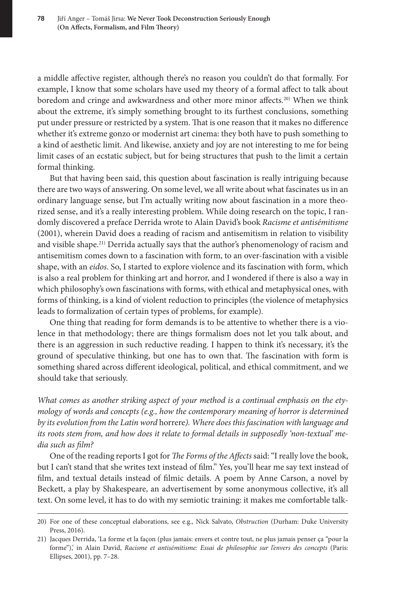a middle affective register, although there's no reason you couldn't do that formally. For example, I know that some scholars have used my theory of a formal affect to talk about boredom and cringe and awkwardness and other more minor affects.<sup>20)</sup> When we think about the extreme, it's simply something brought to its furthest conclusions, something put under pressure or restricted by a system. That is one reason that it makes no difference whether it's extreme gonzo or modernist art cinema: they both have to push something to a kind of aesthetic limit. And likewise, anxiety and joy are not interesting to me for being limit cases of an ecstatic subject, but for being structures that push to the limit a certain formal thinking.

But that having been said, this question about fascination is really intriguing because there are two ways of answering. On some level, we all write about what fascinates us in an ordinary language sense, but I'm actually writing now about fascination in a more theorized sense, and it's a really interesting problem. While doing research on the topic, I randomly discovered a preface Derrida wrote to Alain David's book *Racisme et antisémitisme* (2001), wherein David does a reading of racism and antisemitism in relation to visibility and visible shape.21) Derrida actually says that the author's phenomenology of racism and antisemitism comes down to a fascination with form, to an over-fascination with a visible shape, with an *eidos*. So, I started to explore violence and its fascination with form, which is also a real problem for thinking art and horror, and I wondered if there is also a way in which philosophy's own fascinations with forms, with ethical and metaphysical ones, with forms of thinking, is a kind of violent reduction to principles (the violence of metaphysics leads to formalization of certain types of problems, for example).

One thing that reading for form demands is to be attentive to whether there is a violence in that methodology; there are things formalism does not let you talk about, and there is an aggression in such reductive reading. I happen to think it's necessary, it's the ground of speculative thinking, but one has to own that. The fascination with form is something shared across different ideological, political, and ethical commitment, and we should take that seriously.

*What comes as another striking aspect of your method is a continual emphasis on the etymology of words and concepts (e.g., how the contemporary meaning of horror is determined by its evolution from the Latin word* horrere*). Where does this fascination with language and its roots stem from, and how does it relate to formal details in supposedly 'non-textual' media such as film?*

One of the reading reports I got for *The Forms of the Affects* said: "I really love the book, but I can't stand that she writes text instead of film." Yes, you'll hear me say text instead of film, and textual details instead of filmic details. A poem by Anne Carson, a novel by Beckett, a play by Shakespeare, an advertisement by some anonymous collective, it's all text. On some level, it has to do with my semiotic training: it makes me comfortable talk-

<sup>20)</sup> For one of these conceptual elaborations, see e.g., Nick Salvato, *Obstruction* (Durham: Duke University Press, 2016).

<sup>21)</sup> Jacques Derrida, 'La forme et la façon (plus jamais: envers et contre tout, ne plus jamais penser ça "pour la forme"),' in Alain David, *Racisme et antisémitisme: Essai de philosophie sur l'envers des concepts* (Paris: Ellipses, 2001), pp. 7–28.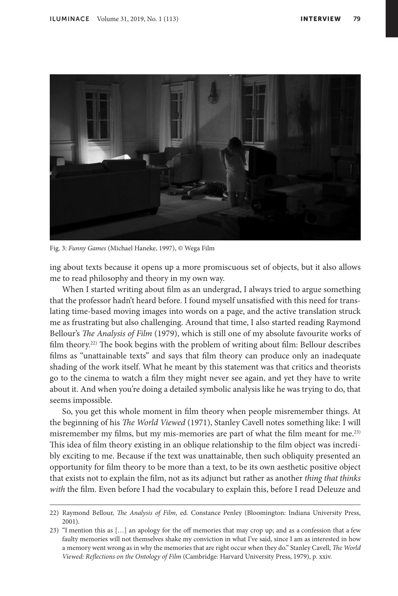

Fig. 3: *Funny Games* (Michael Haneke, 1997), © Wega Film

ing about texts because it opens up a more promiscuous set of objects, but it also allows me to read philosophy and theory in my own way.

When I started writing about film as an undergrad, I always tried to argue something that the professor hadn't heard before. I found myself unsatisfied with this need for translating time-based moving images into words on a page, and the active translation struck me as frustrating but also challenging. Around that time, I also started reading Raymond Bellour's *The Analysis of Film* (1979), which is still one of my absolute favourite works of film theory.22) The book begins with the problem of writing about film: Bellour describes films as "unattainable texts" and says that film theory can produce only an inadequate shading of the work itself. What he meant by this statement was that critics and theorists go to the cinema to watch a film they might never see again, and yet they have to write about it. And when you're doing a detailed symbolic analysis like he was trying to do, that seems impossible.

So, you get this whole moment in film theory when people misremember things. At the beginning of his *The World Viewed* (1971), Stanley Cavell notes something like: I will misremember my films, but my mis-memories are part of what the film meant for me.<sup>23)</sup> This idea of film theory existing in an oblique relationship to the film object was incredibly exciting to me. Because if the text was unattainable, then such obliquity presented an opportunity for film theory to be more than a text, to be its own aesthetic positive object that exists not to explain the film, not as its adjunct but rather as another *thing that thinks with* the film. Even before I had the vocabulary to explain this, before I read Deleuze and

<sup>22)</sup> Raymond Bellour, *The Analysis of Film*, ed. Constance Penley (Bloomington: Indiana University Press, 2001).

<sup>23)</sup> "I mention this as […] an apology for the off memories that may crop up; and as a confession that a few faulty memories will not themselves shake my conviction in what I've said, since I am as interested in how a memory went wrong as in why the memories that are right occur when they do." Stanley Cavell, *The World Viewed: Reflections on the Ontology of Film* (Cambridge: Harvard University Press, 1979), p. xxiv.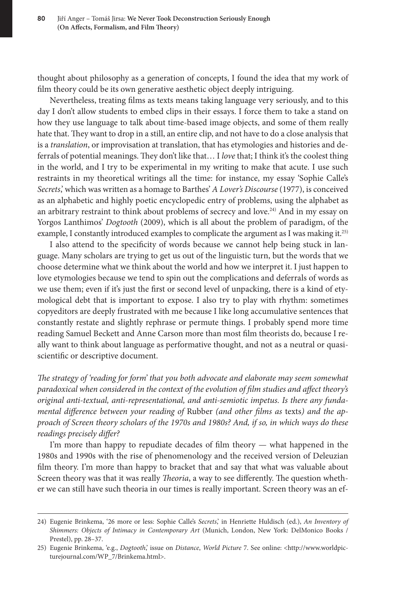thought about philosophy as a generation of concepts, I found the idea that my work of film theory could be its own generative aesthetic object deeply intriguing.

Nevertheless, treating films as texts means taking language very seriously, and to this day I don't allow students to embed clips in their essays. I force them to take a stand on how they use language to talk about time-based image objects, and some of them really hate that. They want to drop in a still, an entire clip, and not have to do a close analysis that is a *translation*, or improvisation at translation, that has etymologies and histories and deferrals of potential meanings. They don't like that… I *love* that; I think it's the coolest thing in the world, and I try to be experimental in my writing to make that acute. I use such restraints in my theoretical writings all the time: for instance, my essay 'Sophie Calle's *Secrets*,' which was written as a homage to Barthes' *A Lover's Discourse* (1977), is conceived as an alphabetic and highly poetic encyclopedic entry of problems, using the alphabet as an arbitrary restraint to think about problems of secrecy and love.24) And in my essay on Yorgos Lanthimos' *Dogtooth* (2009), which is all about the problem of paradigm, of the example, I constantly introduced examples to complicate the argument as I was making it.25)

I also attend to the specificity of words because we cannot help being stuck in language. Many scholars are trying to get us out of the linguistic turn, but the words that we choose determine what we think about the world and how we interpret it. I just happen to love etymologies because we tend to spin out the complications and deferrals of words as we use them; even if it's just the first or second level of unpacking, there is a kind of etymological debt that is important to expose. I also try to play with rhythm: sometimes copyeditors are deeply frustrated with me because I like long accumulative sentences that constantly restate and slightly rephrase or permute things. I probably spend more time reading Samuel Beckett and Anne Carson more than most film theorists do, because I really want to think about language as performative thought, and not as a neutral or quasiscientific or descriptive document.

*The strategy of 'reading for form' that you both advocate and elaborate may seem somewhat paradoxical when considered in the context of the evolution of film studies and affect theory's original anti-textual, anti-representational, and anti-semiotic impetus. Is there any fundamental difference between your reading of* Rubber *(and other films as* texts*) and the approach of Screen theory scholars of the 1970s and 1980s? And, if so, in which ways do these readings precisely differ?*

I'm more than happy to repudiate decades of film theory — what happened in the 1980s and 1990s with the rise of phenomenology and the received version of Deleuzian film theory. I'm more than happy to bracket that and say that what was valuable about Screen theory was that it was really *Theoria*, a way to see differently. The question whether we can still have such theoria in our times is really important. Screen theory was an ef-

<sup>24)</sup> Eugenie Brinkema, '26 more or less: Sophie Calle's *Secrets*,' in Henriette Huldisch (ed.), *An Inventory of Shimmers: Objects of Intimacy in Contemporary Art* (Munich, London, New York: DelMonico Books / Prestel), pp. 28–37.

<sup>25)</sup> Eugenie Brinkema, 'e.g., *Dogtooth*,' issue on *Distance*, *World Picture* 7. See online: <http://www.worldpicturejournal.com/WP\_7/Brinkema.html>.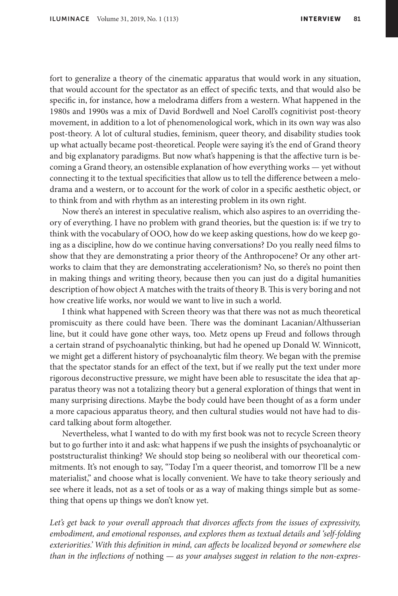fort to generalize a theory of the cinematic apparatus that would work in any situation, that would account for the spectator as an effect of specific texts, and that would also be specific in, for instance, how a melodrama differs from a western. What happened in the 1980s and 1990s was a mix of David Bordwell and Noel Caroll's cognitivist post-theory movement, in addition to a lot of phenomenological work, which in its own way was also post-theory. A lot of cultural studies, feminism, queer theory, and disability studies took up what actually became post-theoretical. People were saying it's the end of Grand theory and big explanatory paradigms. But now what's happening is that the affective turn is becoming a Grand theory, an ostensible explanation of how everything works — yet without connecting it to the textual specificities that allow us to tell the difference between a melodrama and a western, or to account for the work of color in a specific aesthetic object, or to think from and with rhythm as an interesting problem in its own right.

Now there's an interest in speculative realism, which also aspires to an overriding theory of everything. I have no problem with grand theories, but the question is: if we try to think with the vocabulary of OOO, how do we keep asking questions, how do we keep going as a discipline, how do we continue having conversations? Do you really need films to show that they are demonstrating a prior theory of the Anthropocene? Or any other artworks to claim that they are demonstrating accelerationism? No, so there's no point then in making things and writing theory, because then you can just do a digital humanities description of how object A matches with the traits of theory B. This is very boring and not how creative life works, nor would we want to live in such a world.

I think what happened with Screen theory was that there was not as much theoretical promiscuity as there could have been. There was the dominant Lacanian/Althusserian line, but it could have gone other ways, too. Metz opens up Freud and follows through a certain strand of psychoanalytic thinking, but had he opened up Donald W. Winnicott, we might get a different history of psychoanalytic film theory. We began with the premise that the spectator stands for an effect of the text, but if we really put the text under more rigorous deconstructive pressure, we might have been able to resuscitate the idea that apparatus theory was not a totalizing theory but a general exploration of things that went in many surprising directions. Maybe the body could have been thought of as a form under a more capacious apparatus theory, and then cultural studies would not have had to discard talking about form altogether.

Nevertheless, what I wanted to do with my first book was not to recycle Screen theory but to go further into it and ask: what happens if we push the insights of psychoanalytic or poststructuralist thinking? We should stop being so neoliberal with our theoretical commitments. It's not enough to say, "Today I'm a queer theorist, and tomorrow I'll be a new materialist," and choose what is locally convenient. We have to take theory seriously and see where it leads, not as a set of tools or as a way of making things simple but as something that opens up things we don't know yet.

Let's get back to your overall approach that divorces affects from the issues of expressivity, *embodiment, and emotional responses, and explores them as textual details and 'self-folding exteriorities.' With this definition in mind, can affects be localized beyond or somewhere else than in the inflections of* nothing *— as your analyses suggest in relation to the non-expres-*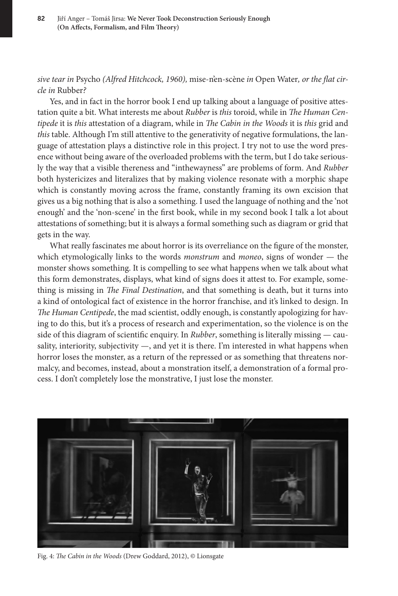*sive tear in* Psycho *(Alfred Hitchcock, 1960),* mise-n'en-scène *in* Open Water*, or the flat circle in* Rubber*?*

Yes, and in fact in the horror book I end up talking about a language of positive attestation quite a bit. What interests me about *Rubber* is *this* toroid, while in *The Human Centipede* it is *this* attestation of a diagram, while in *The Cabin in the Woods* it is *this* grid and *this* table. Although I'm still attentive to the generativity of negative formulations, the language of attestation plays a distinctive role in this project. I try not to use the word presence without being aware of the overloaded problems with the term, but I do take seriously the way that a visible thereness and "inthewayness" are problems of form. And *Rubber* both hystericizes and literalizes that by making violence resonate with a morphic shape which is constantly moving across the frame, constantly framing its own excision that gives us a big nothing that is also a something. I used the language of nothing and the 'not enough' and the 'non-scene' in the first book, while in my second book I talk a lot about attestations of something; but it is always a formal something such as diagram or grid that gets in the way.

What really fascinates me about horror is its overreliance on the figure of the monster, which etymologically links to the words *monstrum* and *moneo*, signs of wonder — the monster shows something. It is compelling to see what happens when we talk about what this form demonstrates, displays, what kind of signs does it attest to. For example, something is missing in *The Final Destination*, and that something is death, but it turns into a kind of ontological fact of existence in the horror franchise, and it's linked to design. In *The Human Centipede*, the mad scientist, oddly enough, is constantly apologizing for having to do this, but it's a process of research and experimentation, so the violence is on the side of this diagram of scientific enquiry. In *Rubber*, something is literally missing — causality, interiority, subjectivity —, and yet it is there. I'm interested in what happens when horror loses the monster, as a return of the repressed or as something that threatens normalcy, and becomes, instead, about a monstration itself, a demonstration of a formal process. I don't completely lose the monstrative, I just lose the monster.



Fig. 4: *The Cabin in the Woods* (Drew Goddard, 2012), © Lionsgate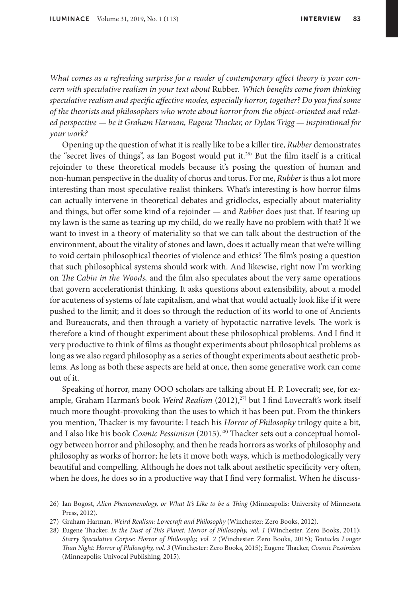*What comes as a refreshing surprise for a reader of contemporary affect theory is your concern with speculative realism in your text about* Rubber*. Which benefits come from thinking speculative realism and specific affective modes, especially horror, together? Do you find some of the theorists and philosophers who wrote about horror from the object-oriented and related perspective — be it Graham Harman, Eugene Thacker, or Dylan Trigg — inspirational for your work?*

Opening up the question of what it is really like to be a killer tire, *Rubber* demonstrates the "secret lives of things", as Ian Bogost would put it.26) But the film itself is a critical rejoinder to these theoretical models because it's posing the question of human and non-human perspective in the duality of chorus and torus. For me, *Rubber* is thus a lot more interesting than most speculative realist thinkers. What's interesting is how horror films can actually intervene in theoretical debates and gridlocks, especially about materiality and things, but offer some kind of a rejoinder — and *Rubber* does just that. If tearing up my lawn is the same as tearing up my child, do we really have no problem with that? If we want to invest in a theory of materiality so that we can talk about the destruction of the environment, about the vitality of stones and lawn, does it actually mean that we're willing to void certain philosophical theories of violence and ethics? The film's posing a question that such philosophical systems should work with. And likewise, right now I'm working on *The Cabin in the Woods,* and the film also speculates about the very same operations that govern accelerationist thinking. It asks questions about extensibility, about a model for acuteness of systems of late capitalism, and what that would actually look like if it were pushed to the limit; and it does so through the reduction of its world to one of Ancients and Bureaucrats, and then through a variety of hypotactic narrative levels. The work is therefore a kind of thought experiment about these philosophical problems. And I find it very productive to think of films as thought experiments about philosophical problems as long as we also regard philosophy as a series of thought experiments about aesthetic problems. As long as both these aspects are held at once, then some generative work can come out of it.

Speaking of horror, many OOO scholars are talking about H. P. Lovecraft; see, for example, Graham Harman's book *Weird Realism* (2012),<sup>27)</sup> but I find Lovecraft's work itself much more thought-provoking than the uses to which it has been put. From the thinkers you mention, Thacker is my favourite: I teach his *Horror of Philosophy* trilogy quite a bit, and I also like his book *Cosmic Pessimism* (2015).28) Thacker sets out a conceptual homology between horror and philosophy, and then he reads horrors as works of philosophy and philosophy as works of horror; he lets it move both ways, which is methodologically very beautiful and compelling. Although he does not talk about aesthetic specificity very often, when he does, he does so in a productive way that I find very formalist. When he discuss-

<sup>26)</sup> Ian Bogost, *Alien Phenomenology, or What It's Like to be a Thing* (Minneapolis: University of Minnesota Press, 2012).

<sup>27)</sup> Graham Harman, *Weird Realism: Lovecraft and Philosophy* (Winchester: Zero Books, 2012).

<sup>28)</sup> Eugene Thacker, *In the Dust of This Planet: Horror of Philosophy, vol. 1* (Winchester: Zero Books, 2011); *Starry Speculative Corpse: Horror of Philosophy, vol. 2* (Winchester: Zero Books, 2015); *Tentacles Longer Than Night: Horror of Philosophy, vol. 3* (Winchester: Zero Books, 2015); Eugene Thacker, *Cosmic Pessimism* (Minneapolis: Univocal Publishing, 2015).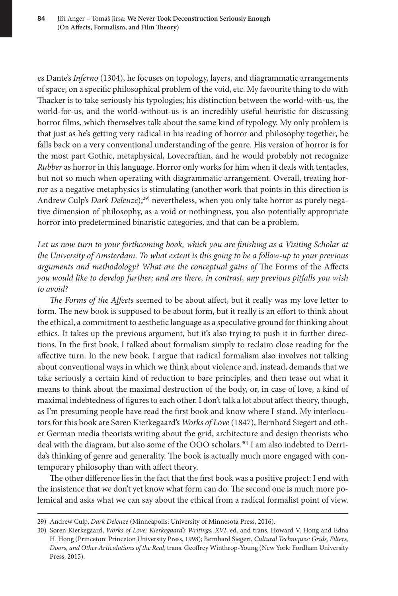es Dante's *Inferno* (1304), he focuses on topology, layers, and diagrammatic arrangements of space, on a specific philosophical problem of the void, etc. My favourite thing to do with Thacker is to take seriously his typologies; his distinction between the world-with-us, the world-for-us, and the world-without-us is an incredibly useful heuristic for discussing horror films, which themselves talk about the same kind of typology. My only problem is that just as he's getting very radical in his reading of horror and philosophy together, he falls back on a very conventional understanding of the genre. His version of horror is for the most part Gothic, metaphysical, Lovecraftian, and he would probably not recognize *Rubber* as horror in this language. Horror only works for him when it deals with tentacles, but not so much when operating with diagrammatic arrangement. Overall, treating horror as a negative metaphysics is stimulating (another work that points in this direction is Andrew Culp's *Dark Deleuze*);29) nevertheless, when you only take horror as purely negative dimension of philosophy, as a void or nothingness, you also potentially appropriate horror into predetermined binaristic categories, and that can be a problem.

Let us now turn to your forthcoming book, which you are finishing as a Visiting Scholar at *the University of Amsterdam. To what extent is this going to be a follow-up to your previous arguments and methodology? What are the conceptual gains of The Forms of the Affects you would like to develop further; and are there, in contrast, any previous pitfalls you wish to avoid?*

*The Forms of the Affects* seemed to be about affect, but it really was my love letter to form. The new book is supposed to be about form, but it really is an effort to think about the ethical, a commitment to aesthetic language as a speculative ground for thinking about ethics. It takes up the previous argument, but it's also trying to push it in further directions. In the first book, I talked about formalism simply to reclaim close reading for the affective turn. In the new book, I argue that radical formalism also involves not talking about conventional ways in which we think about violence and, instead, demands that we take seriously a certain kind of reduction to bare principles, and then tease out what it means to think about the maximal destruction of the body, or, in case of love, a kind of maximal indebtedness of figures to each other. I don't talk a lot about affect theory, though, as I'm presuming people have read the first book and know where I stand. My interlocutors for this book are Søren Kierkegaard's *Works of Love* (1847), Bernhard Siegert and other German media theorists writing about the grid, architecture and design theorists who deal with the diagram, but also some of the OOO scholars.<sup>30)</sup> I am also indebted to Derrida's thinking of genre and generality. The book is actually much more engaged with contemporary philosophy than with affect theory.

The other difference lies in the fact that the first book was a positive project: I end with the insistence that we don't yet know what form can do. The second one is much more polemical and asks what we can say about the ethical from a radical formalist point of view.

<sup>29)</sup> Andrew Culp, *Dark Deleuze* (Minneapolis: University of Minnesota Press, 2016).

<sup>30)</sup> Søren Kierkegaard, *Works of Love: Kierkegaard's Writings, XVI*, ed. and trans. Howard V. Hong and Edna H. Hong (Princeton: Princeton University Press, 1998); Bernhard Siegert, *Cultural Techniques: Grids, Filters, Doors, and Other Articulations of the Real*, trans. Geoffrey Winthrop-Young (New York: Fordham University Press, 2015).